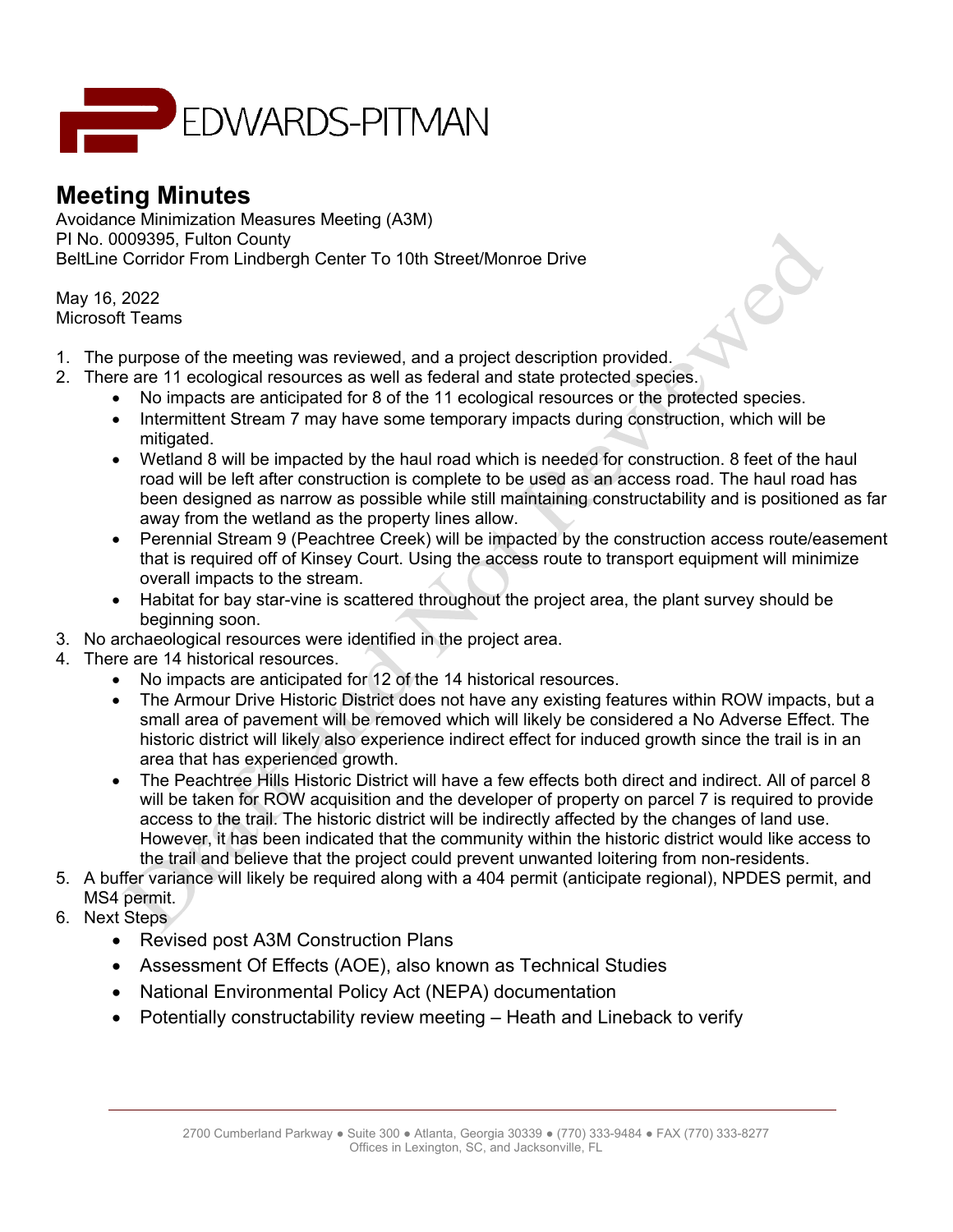

## **Meeting Minutes**

Avoidance Minimization Measures Meeting (A3M) PI No. 0009395, Fulton County BeltLine Corridor From Lindbergh Center To 10th Street/Monroe Drive

May 16, 2022 Microsoft Teams

- 1. The purpose of the meeting was reviewed, and a project description provided.
- 2. There are 11 ecological resources as well as federal and state protected species.
	- No impacts are anticipated for 8 of the 11 ecological resources or the protected species.
	- Intermittent Stream 7 may have some temporary impacts during construction, which will be mitigated.
	- Wetland 8 will be impacted by the haul road which is needed for construction. 8 feet of the haul road will be left after construction is complete to be used as an access road. The haul road has been designed as narrow as possible while still maintaining constructability and is positioned as far away from the wetland as the property lines allow.

Jep

- Perennial Stream 9 (Peachtree Creek) will be impacted by the construction access route/easement that is required off of Kinsey Court. Using the access route to transport equipment will minimize overall impacts to the stream.
- Habitat for bay star-vine is scattered throughout the project area, the plant survey should be beginning soon.
- 3. No archaeological resources were identified in the project area.
- 4. There are 14 historical resources.
	- No impacts are anticipated for 12 of the 14 historical resources.
	- The Armour Drive Historic District does not have any existing features within ROW impacts, but a small area of pavement will be removed which will likely be considered a No Adverse Effect. The historic district will likely also experience indirect effect for induced growth since the trail is in an area that has experienced growth.
	- The Peachtree Hills Historic District will have a few effects both direct and indirect. All of parcel 8 will be taken for ROW acquisition and the developer of property on parcel 7 is required to provide access to the trail. The historic district will be indirectly affected by the changes of land use. However, it has been indicated that the community within the historic district would like access to the trail and believe that the project could prevent unwanted loitering from non-residents.
- 5. A buffer variance will likely be required along with a 404 permit (anticipate regional), NPDES permit, and MS4 permit.
- 6. Next Steps
	- Revised post A3M Construction Plans
	- Assessment Of Effects (AOE), also known as Technical Studies
	- National Environmental Policy Act (NEPA) documentation
	- Potentially constructability review meeting Heath and Lineback to verify